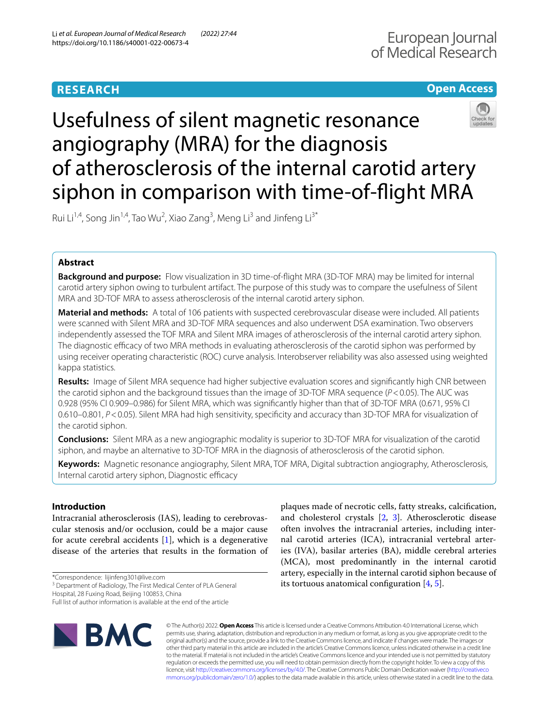### **Open Access**

# Usefulness of silent magnetic resonance angiography (MRA) for the diagnosis of atherosclerosis of the internal carotid artery siphon in comparison with time-of-fight MRA

Rui Li<sup>1,4</sup>, Song Jin<sup>1,4</sup>, Tao Wu<sup>2</sup>, Xiao Zang<sup>3</sup>, Meng Li<sup>3</sup> and Jinfeng Li<sup>3\*</sup>

#### **Abstract**

**Background and purpose:** Flow visualization in 3D time-of-fight MRA (3D-TOF MRA) may be limited for internal carotid artery siphon owing to turbulent artifact. The purpose of this study was to compare the usefulness of Silent MRA and 3D-TOF MRA to assess atherosclerosis of the internal carotid artery siphon.

**Material and methods:** A total of 106 patients with suspected cerebrovascular disease were included. All patients were scanned with Silent MRA and 3D-TOF MRA sequences and also underwent DSA examination. Two observers independently assessed the TOF MRA and Silent MRA images of atherosclerosis of the internal carotid artery siphon. The diagnostic efficacy of two MRA methods in evaluating atherosclerosis of the carotid siphon was performed by using receiver operating characteristic (ROC) curve analysis. Interobserver reliability was also assessed using weighted kappa statistics.

**Results:** Image of Silent MRA sequence had higher subjective evaluation scores and signifcantly high CNR between the carotid siphon and the background tissues than the image of 3D-TOF MRA sequence (*P*<0.05). The AUC was 0.928 (95% CI 0.909–0.986) for Silent MRA, which was signifcantly higher than that of 3D-TOF MRA (0.671, 95% CI 0.610–0.801, *P*<0.05). Silent MRA had high sensitivity, specifcity and accuracy than 3D-TOF MRA for visualization of the carotid siphon.

**Conclusions:** Silent MRA as a new angiographic modality is superior to 3D-TOF MRA for visualization of the carotid siphon, and maybe an alternative to 3D-TOF MRA in the diagnosis of atherosclerosis of the carotid siphon.

**Keywords:** Magnetic resonance angiography, Silent MRA, TOF MRA, Digital subtraction angiography, Atherosclerosis, Internal carotid artery siphon, Diagnostic efficacy

#### **Introduction**

Intracranial atherosclerosis (IAS), leading to cerebrovascular stenosis and/or occlusion, could be a major cause for acute cerebral accidents [[1](#page-5-0)], which is a degenerative disease of the arteries that results in the formation of

\*Correspondence: lijinfeng301@live.com

<sup>3</sup> Department of Radiology, The First Medical Center of PLA General

Hospital, 28 Fuxing Road, Beijing 100853, China

Full list of author information is available at the end of the article



plaques made of necrotic cells, fatty streaks, calcifcation, and cholesterol crystals [[2,](#page-5-1) [3\]](#page-5-2). Atherosclerotic disease often involves the intracranial arteries, including internal carotid arteries (ICA), intracranial vertebral arteries (IVA), basilar arteries (BA), middle cerebral arteries (MCA), most predominantly in the internal carotid artery, especially in the internal carotid siphon because of its tortuous anatomical confguration [\[4](#page-5-3), [5](#page-5-4)].

© The Author(s) 2022. **Open Access** This article is licensed under a Creative Commons Attribution 4.0 International License, which permits use, sharing, adaptation, distribution and reproduction in any medium or format, as long as you give appropriate credit to the original author(s) and the source, provide a link to the Creative Commons licence, and indicate if changes were made. The images or other third party material in this article are included in the article's Creative Commons licence, unless indicated otherwise in a credit line to the material. If material is not included in the article's Creative Commons licence and your intended use is not permitted by statutory regulation or exceeds the permitted use, you will need to obtain permission directly from the copyright holder. To view a copy of this licence, visit [http://creativecommons.org/licenses/by/4.0/.](http://creativecommons.org/licenses/by/4.0/) The Creative Commons Public Domain Dedication waiver ([http://creativeco](http://creativecommons.org/publicdomain/zero/1.0/) [mmons.org/publicdomain/zero/1.0/](http://creativecommons.org/publicdomain/zero/1.0/)) applies to the data made available in this article, unless otherwise stated in a credit line to the data.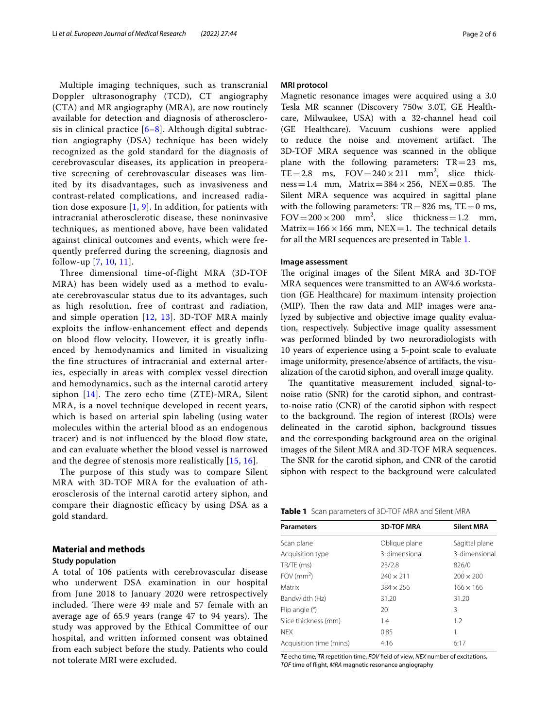Multiple imaging techniques, such as transcranial Doppler ultrasonography (TCD), CT angiography (CTA) and MR angiography (MRA), are now routinely available for detection and diagnosis of atherosclerosis in clinical practice [[6–](#page-5-5)[8](#page-5-6)]. Although digital subtraction angiography (DSA) technique has been widely recognized as the gold standard for the diagnosis of cerebrovascular diseases, its application in preoperative screening of cerebrovascular diseases was limited by its disadvantages, such as invasiveness and contrast-related complications, and increased radiation dose exposure  $[1, 9]$  $[1, 9]$  $[1, 9]$ . In addition, for patients with intracranial atherosclerotic disease, these noninvasive techniques, as mentioned above, have been validated against clinical outcomes and events, which were frequently preferred during the screening, diagnosis and follow-up [[7](#page-5-8), [10](#page-5-9), [11](#page-5-10)].

Three dimensional time-of-flight MRA (3D-TOF MRA) has been widely used as a method to evaluate cerebrovascular status due to its advantages, such as high resolution, free of contrast and radiation, and simple operation  $[12, 13]$  $[12, 13]$  $[12, 13]$  $[12, 13]$ . 3D-TOF MRA mainly exploits the inflow-enhancement effect and depends on blood flow velocity. However, it is greatly influenced by hemodynamics and limited in visualizing the fine structures of intracranial and external arteries, especially in areas with complex vessel direction and hemodynamics, such as the internal carotid artery siphon [\[14\]](#page-5-13). The zero echo time (ZTE)-MRA, Silent MRA, is a novel technique developed in recent years, which is based on arterial spin labeling (using water molecules within the arterial blood as an endogenous tracer) and is not influenced by the blood flow state, and can evaluate whether the blood vessel is narrowed and the degree of stenosis more realistically [[15](#page-5-14), [16](#page-5-15)].

The purpose of this study was to compare Silent MRA with 3D-TOF MRA for the evaluation of atherosclerosis of the internal carotid artery siphon, and compare their diagnostic efficacy by using DSA as a gold standard.

#### **Material and methods**

#### **Study population**

A total of 106 patients with cerebrovascular disease who underwent DSA examination in our hospital from June 2018 to January 2020 were retrospectively included. There were 49 male and 57 female with an average age of  $65.9$  years (range  $47$  to  $94$  years). The study was approved by the Ethical Committee of our hospital, and written informed consent was obtained from each subject before the study. Patients who could not tolerate MRI were excluded.

#### **MRI protocol**

Magnetic resonance images were acquired using a 3.0 Tesla MR scanner (Discovery 750w 3.0T, GE Healthcare, Milwaukee, USA) with a 32-channel head coil (GE Healthcare). Vacuum cushions were applied to reduce the noise and movement artifact. The 3D-TOF MRA sequence was scanned in the oblique plane with the following parameters:  $TR = 23$  ms, TE=2.8 ms,  $FOV = 240 \times 211$  mm<sup>2</sup>, slice thick $ness=1.4$  mm,  $Matrix=384\times256$ ,  $NEX=0.85$ . The Silent MRA sequence was acquired in sagittal plane with the following parameters:  $TR = 826$  ms,  $TE = 0$  ms, FOV =  $200 \times 200$  mm<sup>2</sup>, slice thickness = 1.2 mm, Matrix=166  $\times$  166 mm, NEX=1. The technical details for all the MRI sequences are presented in Table [1](#page-1-0).

#### **Image assessment**

The original images of the Silent MRA and 3D-TOF MRA sequences were transmitted to an AW4.6 workstation (GE Healthcare) for maximum intensity projection (MIP). Then the raw data and MIP images were analyzed by subjective and objective image quality evaluation, respectively. Subjective image quality assessment was performed blinded by two neuroradiologists with 10 years of experience using a 5-point scale to evaluate image uniformity, presence/absence of artifacts, the visualization of the carotid siphon, and overall image quality.

The quantitative measurement included signal-tonoise ratio (SNR) for the carotid siphon, and contrastto-noise ratio (CNR) of the carotid siphon with respect to the background. The region of interest (ROIs) were delineated in the carotid siphon, background tissues and the corresponding background area on the original images of the Silent MRA and 3D-TOF MRA sequences. The SNR for the carotid siphon, and CNR of the carotid siphon with respect to the background were calculated

<span id="page-1-0"></span>

| <b>Parameters</b>        | <b>3D-TOF MRA</b> | <b>Silent MRA</b> |  |
|--------------------------|-------------------|-------------------|--|
| Scan plane               | Oblique plane     | Sagittal plane    |  |
| Acquisition type         | 3-dimensional     | 3-dimensional     |  |
| TR/TE (ms)               | 23/2.8            | 826/0             |  |
| FOV $\rm (mm^2)$         | $240 \times 211$  | $200 \times 200$  |  |
| Matrix                   | $384 \times 256$  | $166 \times 166$  |  |
| Bandwidth (Hz)           | 31.20             | 31.20             |  |
| Flip angle (°)           | 20                | 3                 |  |
| Slice thickness (mm)     | 1.4               | 1.2               |  |
| <b>NFX</b>               | 0.85              | 1                 |  |
| Acquisition time (min:s) | 4:16              | 6:17              |  |

*TE* echo time, *TR* repetition time, *FOV* feld of view, *NEX* number of excitations, *TOF* time of fight, *MRA* magnetic resonance angiography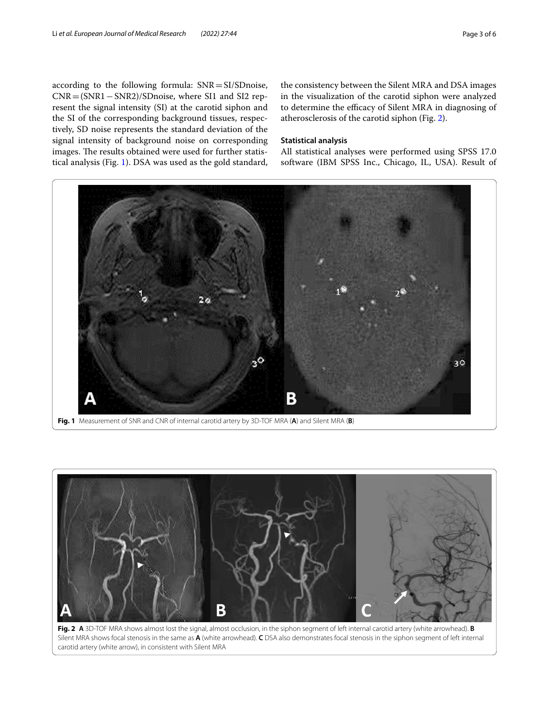according to the following formula: SNR=SI/SDnoise, CNR=(SNR1−SNR2)/SDnoise, where SI1 and SI2 represent the signal intensity (SI) at the carotid siphon and the SI of the corresponding background tissues, respectively, SD noise represents the standard deviation of the signal intensity of background noise on corresponding images. The results obtained were used for further statistical analysis (Fig. [1](#page-2-0)). DSA was used as the gold standard, the consistency between the Silent MRA and DSA images in the visualization of the carotid siphon were analyzed to determine the efficacy of Silent MRA in diagnosing of atherosclerosis of the carotid siphon (Fig. [2](#page-2-1)).

#### **Statistical analysis**

All statistical analyses were performed using SPSS 17.0 software (IBM SPSS Inc., Chicago, IL, USA). Result of



<span id="page-2-0"></span>

<span id="page-2-1"></span>**Fig. 2 A** 3D-TOF MRA shows almost lost the signal, almost occlusion, in the siphon segment of left internal carotid artery (white arrowhead). **B** Silent MRA shows focal stenosis in the same as **A** (white arrowhead). **C** DSA also demonstrates focal stenosis in the siphon segment of left internal carotid artery (white arrow), in consistent with Silent MRA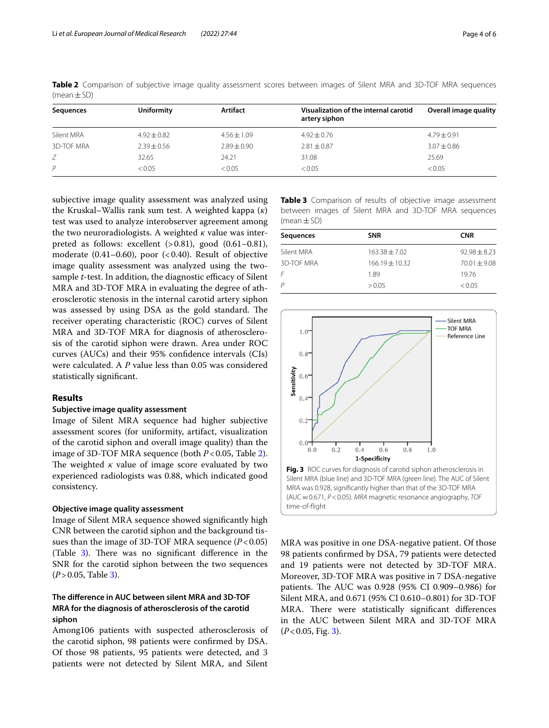| Sequences  | Uniformity      | Artifact        | Visualization of the internal carotid<br>artery siphon | Overall image quality |
|------------|-----------------|-----------------|--------------------------------------------------------|-----------------------|
| Silent MRA | $4.92 \pm 0.82$ | $4.56 \pm 1.09$ | $4.92 \pm 0.76$                                        | $4.79 \pm 0.91$       |
| 3D-TOF MRA | $2.39 + 0.56$   | $7.89 + 0.90$   | $2.81 \pm 0.87$                                        | $3.07 + 0.86$         |
|            | 32.65           | 24.21           | 31.08                                                  | 25.69                 |
| P          | < 0.05          | < 0.05          | < 0.05                                                 | < 0.05                |

<span id="page-3-0"></span>**Table 2** Comparison of subjective image quality assessment scores between images of Silent MRA and 3D-TOF MRA sequences  $(mean + SD)$ 

subjective image quality assessment was analyzed using the Kruskal–Wallis rank sum test. A weighted kappa (*κ*) test was used to analyze interobserver agreement among the two neuroradiologists. A weighted *κ* value was interpreted as follows: excellent  $(>0.81)$ , good  $(0.61-0.81)$ , moderate  $(0.41-0.60)$ , poor  $( $0.40$ ). Result of objective$ image quality assessment was analyzed using the twosample *t*-test. In addition, the diagnostic efficacy of Silent MRA and 3D-TOF MRA in evaluating the degree of atherosclerotic stenosis in the internal carotid artery siphon was assessed by using DSA as the gold standard. The receiver operating characteristic (ROC) curves of Silent MRA and 3D-TOF MRA for diagnosis of atherosclerosis of the carotid siphon were drawn. Area under ROC curves (AUCs) and their 95% confdence intervals (CIs) were calculated. A *P* value less than 0.05 was considered statistically signifcant.

#### **Results**

#### **Subjective image quality assessment**

Image of Silent MRA sequence had higher subjective assessment scores (for uniformity, artifact, visualization of the carotid siphon and overall image quality) than the image of 3D-TOF MRA sequence (both *P*<0.05, Table [2](#page-3-0)). The weighted  $\kappa$  value of image score evaluated by two experienced radiologists was 0.88, which indicated good consistency.

#### **Objective image quality assessment**

Image of Silent MRA sequence showed signifcantly high CNR between the carotid siphon and the background tissues than the image of 3D-TOF MRA sequence (*P*<0.05) (Table  $3$ ). There was no significant difference in the SNR for the carotid siphon between the two sequences  $(P > 0.05,$  Table [3](#page-3-1)).

#### **The diference in AUC between silent MRA and 3D-TOF MRA for the diagnosis of atherosclerosis of the carotid siphon**

Among106 patients with suspected atherosclerosis of the carotid siphon, 98 patients were confrmed by DSA. Of those 98 patients, 95 patients were detected, and 3 patients were not detected by Silent MRA, and Silent <span id="page-3-1"></span>**Table 3** Comparison of results of objective image assessment between images of Silent MRA and 3D-TOF MRA sequences  $(mean \pm SD)$ 

| Sequences         | <b>SNR</b>         | <b>CNR</b>       |  |
|-------------------|--------------------|------------------|--|
| Silent MRA        | $163.38 \pm 7.02$  | $92.98 \pm 8.23$ |  |
| <b>3D-TOF MRA</b> | $166.19 \pm 10.32$ | $70.01 + 9.08$   |  |
| F                 | 1.89               | 19.76            |  |
| P                 | > 0.05             | < 0.05           |  |
|                   |                    |                  |  |



<span id="page-3-2"></span>MRA was positive in one DSA-negative patient. Of those 98 patients confrmed by DSA, 79 patients were detected and 19 patients were not detected by 3D-TOF MRA. Moreover, 3D-TOF MRA was positive in 7 DSA-negative patients. The AUC was 0.928 (95% CI 0.909-0.986) for Silent MRA, and 0.671 (95% CI 0.610–0.801) for 3D-TOF MRA. There were statistically significant differences in the AUC between Silent MRA and 3D-TOF MRA  $(P<0.05,$  Fig. [3\)](#page-3-2).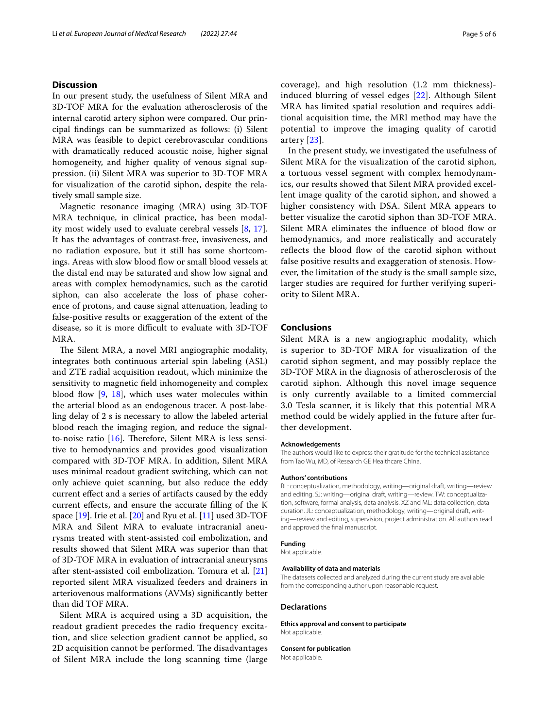#### **Discussion**

In our present study, the usefulness of Silent MRA and 3D-TOF MRA for the evaluation atherosclerosis of the internal carotid artery siphon were compared. Our principal fndings can be summarized as follows: (i) Silent MRA was feasible to depict cerebrovascular conditions with dramatically reduced acoustic noise, higher signal homogeneity, and higher quality of venous signal suppression. (ii) Silent MRA was superior to 3D-TOF MRA for visualization of the carotid siphon, despite the relatively small sample size.

Magnetic resonance imaging (MRA) using 3D-TOF MRA technique, in clinical practice, has been modality most widely used to evaluate cerebral vessels [[8,](#page-5-6) [17](#page-5-16)]. It has the advantages of contrast-free, invasiveness, and no radiation exposure, but it still has some shortcomings. Areas with slow blood flow or small blood vessels at the distal end may be saturated and show low signal and areas with complex hemodynamics, such as the carotid siphon, can also accelerate the loss of phase coherence of protons, and cause signal attenuation, leading to false-positive results or exaggeration of the extent of the disease, so it is more difficult to evaluate with 3D-TOF MRA.

The Silent MRA, a novel MRI angiographic modality, integrates both continuous arterial spin labeling (ASL) and ZTE radial acquisition readout, which minimize the sensitivity to magnetic feld inhomogeneity and complex blood flow  $[9, 18]$  $[9, 18]$  $[9, 18]$  $[9, 18]$ , which uses water molecules within the arterial blood as an endogenous tracer. A post-labeling delay of 2 s is necessary to allow the labeled arterial blood reach the imaging region, and reduce the signalto-noise ratio  $[16]$ . Therefore, Silent MRA is less sensitive to hemodynamics and provides good visualization compared with 3D-TOF MRA. In addition, Silent MRA uses minimal readout gradient switching, which can not only achieve quiet scanning, but also reduce the eddy current efect and a series of artifacts caused by the eddy current efects, and ensure the accurate flling of the K space  $[19]$  $[19]$  $[19]$ . Irie et al.  $[20]$  $[20]$  and Ryu et al.  $[11]$  $[11]$  used 3D-TOF MRA and Silent MRA to evaluate intracranial aneurysms treated with stent-assisted coil embolization, and results showed that Silent MRA was superior than that of 3D-TOF MRA in evaluation of intracranial aneurysms after stent-assisted coil embolization. Tomura et al. [[21](#page-5-20)] reported silent MRA visualized feeders and drainers in arteriovenous malformations (AVMs) signifcantly better than did TOF MRA.

Silent MRA is acquired using a 3D acquisition, the readout gradient precedes the radio frequency excitation, and slice selection gradient cannot be applied, so 2D acquisition cannot be performed. The disadvantages of Silent MRA include the long scanning time (large coverage), and high resolution (1.2 mm thickness) induced blurring of vessel edges [[22\]](#page-5-21). Although Silent MRA has limited spatial resolution and requires additional acquisition time, the MRI method may have the potential to improve the imaging quality of carotid artery [[23\]](#page-5-22).

In the present study, we investigated the usefulness of Silent MRA for the visualization of the carotid siphon, a tortuous vessel segment with complex hemodynamics, our results showed that Silent MRA provided excellent image quality of the carotid siphon, and showed a higher consistency with DSA. Silent MRA appears to better visualize the carotid siphon than 3D-TOF MRA. Silent MRA eliminates the influence of blood flow or hemodynamics, and more realistically and accurately reflects the blood flow of the carotid siphon without false positive results and exaggeration of stenosis. However, the limitation of the study is the small sample size, larger studies are required for further verifying superiority to Silent MRA.

#### **Conclusions**

Silent MRA is a new angiographic modality, which is superior to 3D-TOF MRA for visualization of the carotid siphon segment, and may possibly replace the 3D-TOF MRA in the diagnosis of atherosclerosis of the carotid siphon. Although this novel image sequence is only currently available to a limited commercial 3.0 Tesla scanner, it is likely that this potential MRA method could be widely applied in the future after further development.

#### **Acknowledgements**

The authors would like to express their gratitude for the technical assistance from Tao Wu, MD, of Research GE Healthcare China.

#### **Authors' contributions**

RL: conceptualization, methodology, writing—original draft, writing—review and editing. SJ: writing—original draft, writing—review. TW: conceptualization, software, formal analysis, data analysis. XZ and ML: data collection, data curation. JL: conceptualization, methodology, writing—original draft, writing—review and editing, supervision, project administration. All authors read and approved the fnal manuscript.

#### **Funding**

Not applicable.

#### **Availability of data and materials**

The datasets collected and analyzed during the current study are available from the corresponding author upon reasonable request.

#### **Declarations**

**Ethics approval and consent to participate** Not applicable.

**Consent for publication**

Not applicable.